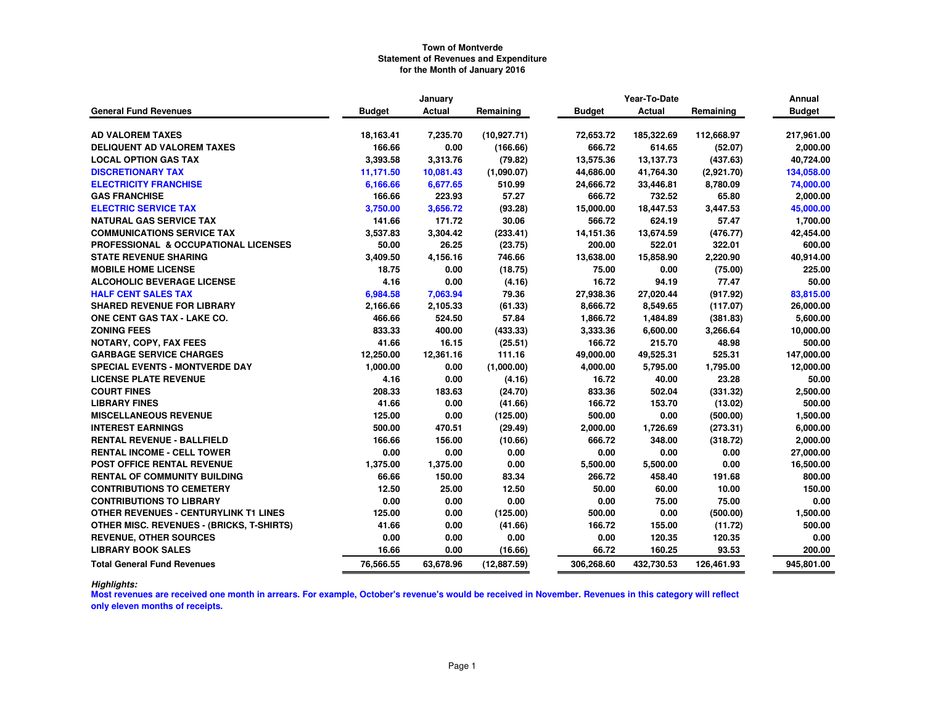|                                                  |               | January       |              |               | Year-To-Date  |            | Annual        |
|--------------------------------------------------|---------------|---------------|--------------|---------------|---------------|------------|---------------|
| <b>General Fund Revenues</b>                     | <b>Budget</b> | <b>Actual</b> | Remaining    | <b>Budget</b> | <b>Actual</b> | Remaining  | <b>Budget</b> |
|                                                  |               |               |              |               |               |            |               |
| <b>AD VALOREM TAXES</b>                          | 18,163.41     | 7,235.70      | (10, 927.71) | 72,653.72     | 185,322.69    | 112,668.97 | 217,961.00    |
| <b>DELIQUENT AD VALOREM TAXES</b>                | 166.66        | 0.00          | (166.66)     | 666.72        | 614.65        | (52.07)    | 2,000.00      |
| <b>LOCAL OPTION GAS TAX</b>                      | 3,393.58      | 3,313.76      | (79.82)      | 13,575.36     | 13,137.73     | (437.63)   | 40,724.00     |
| <b>DISCRETIONARY TAX</b>                         | 11,171.50     | 10,081.43     | (1,090.07)   | 44,686.00     | 41,764.30     | (2,921.70) | 134,058.00    |
| <b>ELECTRICITY FRANCHISE</b>                     | 6,166.66      | 6,677.65      | 510.99       | 24,666.72     | 33,446.81     | 8,780.09   | 74,000.00     |
| <b>GAS FRANCHISE</b>                             | 166.66        | 223.93        | 57.27        | 666.72        | 732.52        | 65.80      | 2,000.00      |
| <b>ELECTRIC SERVICE TAX</b>                      | 3,750.00      | 3,656.72      | (93.28)      | 15,000.00     | 18,447.53     | 3,447.53   | 45,000.00     |
| <b>NATURAL GAS SERVICE TAX</b>                   | 141.66        | 171.72        | 30.06        | 566.72        | 624.19        | 57.47      | 1,700.00      |
| <b>COMMUNICATIONS SERVICE TAX</b>                | 3,537.83      | 3,304.42      | (233.41)     | 14,151.36     | 13,674.59     | (476.77)   | 42,454.00     |
| <b>PROFESSIONAL &amp; OCCUPATIONAL LICENSES</b>  | 50.00         | 26.25         | (23.75)      | 200.00        | 522.01        | 322.01     | 600.00        |
| <b>STATE REVENUE SHARING</b>                     | 3,409.50      | 4,156.16      | 746.66       | 13,638.00     | 15,858.90     | 2,220.90   | 40,914.00     |
| <b>MOBILE HOME LICENSE</b>                       | 18.75         | 0.00          | (18.75)      | 75.00         | 0.00          | (75.00)    | 225.00        |
| <b>ALCOHOLIC BEVERAGE LICENSE</b>                | 4.16          | 0.00          | (4.16)       | 16.72         | 94.19         | 77.47      | 50.00         |
| <b>HALF CENT SALES TAX</b>                       | 6,984.58      | 7,063.94      | 79.36        | 27,938.36     | 27,020.44     | (917.92)   | 83,815.00     |
| <b>SHARED REVENUE FOR LIBRARY</b>                | 2,166.66      | 2,105.33      | (61.33)      | 8,666.72      | 8,549.65      | (117.07)   | 26,000.00     |
| ONE CENT GAS TAX - LAKE CO.                      | 466.66        | 524.50        | 57.84        | 1,866.72      | 1,484.89      | (381.83)   | 5,600.00      |
| <b>ZONING FEES</b>                               | 833.33        | 400.00        | (433.33)     | 3,333.36      | 6,600.00      | 3,266.64   | 10,000.00     |
| <b>NOTARY, COPY, FAX FEES</b>                    | 41.66         | 16.15         | (25.51)      | 166.72        | 215.70        | 48.98      | 500.00        |
| <b>GARBAGE SERVICE CHARGES</b>                   | 12,250.00     | 12,361.16     | 111.16       | 49,000.00     | 49,525.31     | 525.31     | 147,000.00    |
| <b>SPECIAL EVENTS - MONTVERDE DAY</b>            | 1,000.00      | 0.00          | (1,000.00)   | 4,000.00      | 5,795.00      | 1,795.00   | 12,000.00     |
| <b>LICENSE PLATE REVENUE</b>                     | 4.16          | 0.00          | (4.16)       | 16.72         | 40.00         | 23.28      | 50.00         |
| <b>COURT FINES</b>                               | 208.33        | 183.63        | (24.70)      | 833.36        | 502.04        | (331.32)   | 2,500.00      |
| <b>LIBRARY FINES</b>                             | 41.66         | 0.00          | (41.66)      | 166.72        | 153.70        | (13.02)    | 500.00        |
| <b>MISCELLANEOUS REVENUE</b>                     | 125.00        | 0.00          | (125.00)     | 500.00        | 0.00          | (500.00)   | 1,500.00      |
| <b>INTEREST EARNINGS</b>                         | 500.00        | 470.51        | (29.49)      | 2,000.00      | 1,726.69      | (273.31)   | 6,000.00      |
| <b>RENTAL REVENUE - BALLFIELD</b>                | 166.66        | 156.00        | (10.66)      | 666.72        | 348.00        | (318.72)   | 2,000.00      |
| <b>RENTAL INCOME - CELL TOWER</b>                | 0.00          | 0.00          | 0.00         | 0.00          | 0.00          | 0.00       | 27,000.00     |
| <b>POST OFFICE RENTAL REVENUE</b>                | 1,375.00      | 1,375.00      | 0.00         | 5,500.00      | 5,500.00      | 0.00       | 16,500.00     |
| <b>RENTAL OF COMMUNITY BUILDING</b>              | 66.66         | 150.00        | 83.34        | 266.72        | 458.40        | 191.68     | 800.00        |
| <b>CONTRIBUTIONS TO CEMETERY</b>                 | 12.50         | 25.00         | 12.50        | 50.00         | 60.00         | 10.00      | 150.00        |
| <b>CONTRIBUTIONS TO LIBRARY</b>                  | 0.00          | 0.00          | 0.00         | 0.00          | 75.00         | 75.00      | 0.00          |
| OTHER REVENUES - CENTURYLINK T1 LINES            | 125.00        | 0.00          | (125.00)     | 500.00        | 0.00          | (500.00)   | 1,500.00      |
| <b>OTHER MISC. REVENUES - (BRICKS, T-SHIRTS)</b> | 41.66         | 0.00          | (41.66)      | 166.72        | 155.00        | (11.72)    | 500.00        |
| <b>REVENUE, OTHER SOURCES</b>                    | 0.00          | 0.00          | 0.00         | 0.00          | 120.35        | 120.35     | 0.00          |
| <b>LIBRARY BOOK SALES</b>                        | 16.66         | 0.00          | (16.66)      | 66.72         | 160.25        | 93.53      | 200.00        |
| <b>Total General Fund Revenues</b>               | 76,566.55     | 63.678.96     | (12,887.59)  | 306,268.60    | 432,730.53    | 126,461.93 | 945,801.00    |

*Highlights:*

 **Most revenues are received one month in arrears. For example, October's revenue's would be received in November. Revenues in this category will reflect only eleven months of receipts.**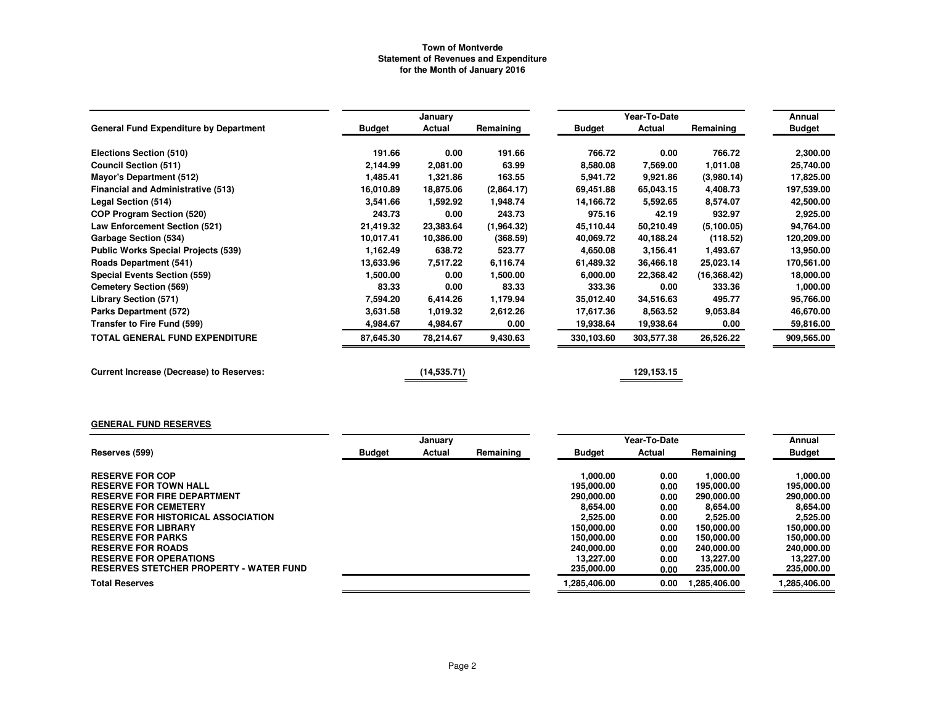|                                                 |               | January     |            |               | Year-To-Date |              | Annual        |
|-------------------------------------------------|---------------|-------------|------------|---------------|--------------|--------------|---------------|
| <b>General Fund Expenditure by Department</b>   | <b>Budget</b> | Actual      | Remaining  | <b>Budget</b> | Actual       | Remaining    | <b>Budget</b> |
| Elections Section (510)                         | 191.66        | 0.00        | 191.66     | 766.72        | 0.00         | 766.72       | 2,300.00      |
| <b>Council Section (511)</b>                    | 2,144.99      | 2,081.00    | 63.99      | 8,580.08      | 7,569.00     | 1,011.08     | 25,740.00     |
| <b>Mayor's Department (512)</b>                 | 1,485.41      | 1,321.86    | 163.55     | 5,941.72      | 9,921.86     | (3,980.14)   | 17,825.00     |
| <b>Financial and Administrative (513)</b>       | 16,010.89     | 18,875.06   | (2,864.17) | 69,451.88     | 65,043.15    | 4,408.73     | 197,539.00    |
| Legal Section (514)                             | 3,541.66      | 1,592.92    | 1,948.74   | 14,166.72     | 5,592.65     | 8,574.07     | 42,500.00     |
| <b>COP Program Section (520)</b>                | 243.73        | 0.00        | 243.73     | 975.16        | 42.19        | 932.97       | 2,925.00      |
| Law Enforcement Section (521)                   | 21,419.32     | 23,383.64   | (1,964.32) | 45,110.44     | 50,210.49    | (5, 100.05)  | 94,764.00     |
| Garbage Section (534)                           | 10,017.41     | 10,386.00   | (368.59)   | 40,069.72     | 40,188.24    | (118.52)     | 120,209.00    |
| <b>Public Works Special Projects (539)</b>      | 1,162.49      | 638.72      | 523.77     | 4,650.08      | 3.156.41     | 1,493.67     | 13,950.00     |
| <b>Roads Department (541)</b>                   | 13,633.96     | 7,517.22    | 6,116.74   | 61,489.32     | 36,466.18    | 25,023.14    | 170,561.00    |
| <b>Special Events Section (559)</b>             | 1,500.00      | 0.00        | 1,500.00   | 6,000.00      | 22,368.42    | (16, 368.42) | 18,000.00     |
| <b>Cemetery Section (569)</b>                   | 83.33         | 0.00        | 83.33      | 333.36        | 0.00         | 333.36       | 1,000.00      |
| <b>Library Section (571)</b>                    | 7,594.20      | 6,414.26    | 1,179.94   | 35,012.40     | 34,516.63    | 495.77       | 95,766.00     |
| Parks Department (572)                          | 3,631.58      | 1,019.32    | 2,612.26   | 17,617.36     | 8,563.52     | 9,053.84     | 46,670.00     |
| Transfer to Fire Fund (599)                     | 4,984.67      | 4,984.67    | 0.00       | 19,938.64     | 19,938.64    | 0.00         | 59,816.00     |
| <b>TOTAL GENERAL FUND EXPENDITURE</b>           | 87,645.30     | 78,214.67   | 9,430.63   | 330,103.60    | 303,577.38   | 26,526.22    | 909,565.00    |
| <b>Current Increase (Decrease) to Reserves:</b> |               | (14,535.71) |            |               | 129, 153. 15 |              |               |

#### **GENERAL FUND RESERVES**

|                                                | January       |        |           |               | Year-To-Date |             | Annual        |
|------------------------------------------------|---------------|--------|-----------|---------------|--------------|-------------|---------------|
| Reserves (599)                                 | <b>Budget</b> | Actual | Remaining | <b>Budget</b> | Actual       | Remaining   | <b>Budget</b> |
| <b>RESERVE FOR COP</b>                         |               |        |           | 1.000.00      | 0.00         | 1.000.00    | 1,000.00      |
| <b>RESERVE FOR TOWN HALL</b>                   |               |        |           | 195.000.00    | 0.00         | 195.000.00  | 195.000.00    |
| <b>RESERVE FOR FIRE DEPARTMENT</b>             |               |        |           | 290.000.00    | 0.00         | 290,000.00  | 290,000.00    |
| <b>RESERVE FOR CEMETERY</b>                    |               |        |           | 8.654.00      | 0.00         | 8,654.00    | 8.654.00      |
| <b>RESERVE FOR HISTORICAL ASSOCIATION</b>      |               |        |           | 2.525.00      | 0.00         | 2,525.00    | 2.525.00      |
| <b>RESERVE FOR LIBRARY</b>                     |               |        |           | 150,000,00    | 0.00         | 150.000.00  | 150,000.00    |
| <b>RESERVE FOR PARKS</b>                       |               |        |           | 150,000,00    | 0.00         | 150,000.00  | 150,000.00    |
| <b>RESERVE FOR ROADS</b>                       |               |        |           | 240.000.00    | 0.00         | 240.000.00  | 240,000.00    |
| <b>RESERVE FOR OPERATIONS</b>                  |               |        |           | 13.227.00     | 0.00         | 13.227.00   | 13.227.00     |
| <b>RESERVES STETCHER PROPERTY - WATER FUND</b> |               |        |           | 235,000.00    | 0.00         | 235,000.00  | 235,000.00    |
| <b>Total Reserves</b>                          |               |        |           | 1.285.406.00  | 0.00         | .285.406.00 | 1,285,406.00  |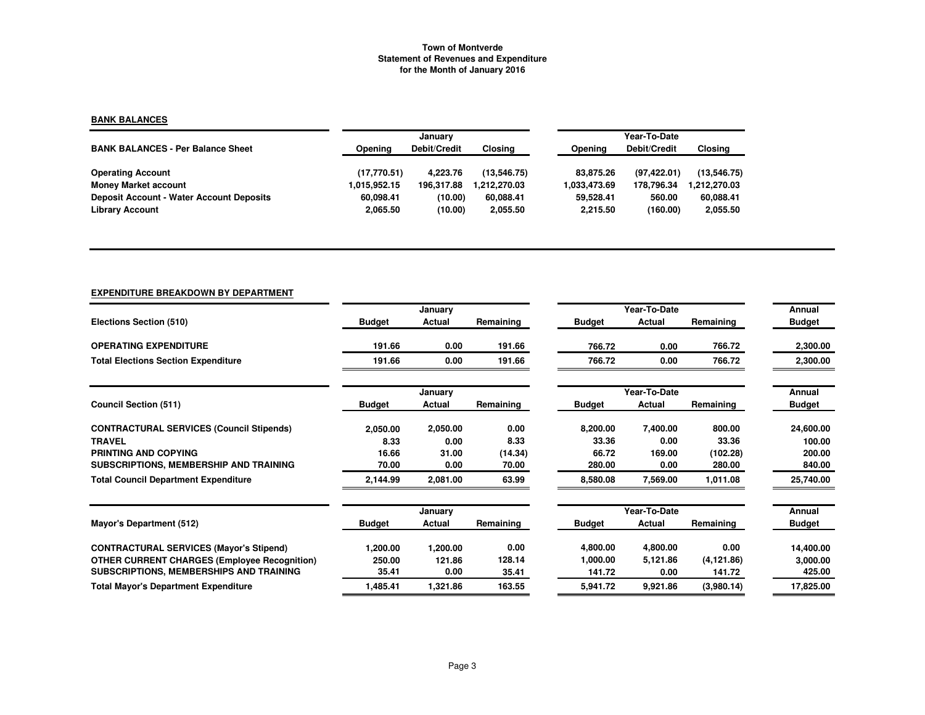# **BANK BALANCES**

|                                                 |              | January      |              | Year-To-Date |              |              |  |  |
|-------------------------------------------------|--------------|--------------|--------------|--------------|--------------|--------------|--|--|
| <b>BANK BALANCES - Per Balance Sheet</b>        | Opening      | Debit/Credit | Closing      | Opening      | Debit/Credit | Closing      |  |  |
| <b>Operating Account</b>                        | (17,770.51)  | 4.223.76     | (13.546.75)  | 83.875.26    | (97, 422.01) | (13.546.75)  |  |  |
| <b>Money Market account</b>                     | 1.015.952.15 | 196.317.88   | 1.212.270.03 | 1.033,473.69 | 178.796.34   | 1.212.270.03 |  |  |
| <b>Deposit Account - Water Account Deposits</b> | 60.098.41    | (10.00)      | 60.088.41    | 59.528.41    | 560.00       | 60,088.41    |  |  |
| <b>Library Account</b>                          | 2,065.50     | (10.00)      | 2,055.50     | 2.215.50     | (160.00)     | 2,055.50     |  |  |

# **EXPENDITURE BREAKDOWN BY DEPARTMENT**

|                                                     |               | January  |           |               | Year-To-Date |             | Annual        |
|-----------------------------------------------------|---------------|----------|-----------|---------------|--------------|-------------|---------------|
| Elections Section (510)                             | <b>Budget</b> | Actual   | Remaining | <b>Budget</b> | Actual       | Remaining   | <b>Budget</b> |
| <b>OPERATING EXPENDITURE</b>                        | 191.66        | 0.00     | 191.66    | 766.72        | 0.00         | 766.72      | 2,300.00      |
| <b>Total Elections Section Expenditure</b>          | 191.66        | 0.00     | 191.66    | 766.72        | 0.00         | 766.72      | 2,300.00      |
|                                                     |               | January  |           |               | Year-To-Date |             | Annual        |
| <b>Council Section (511)</b>                        | <b>Budget</b> | Actual   | Remaining | <b>Budget</b> | Actual       | Remaining   | <b>Budget</b> |
| <b>CONTRACTURAL SERVICES (Council Stipends)</b>     | 2,050.00      | 2,050.00 | 0.00      | 8,200.00      | 7,400.00     | 800.00      | 24,600.00     |
| <b>TRAVEL</b>                                       | 8.33          | 0.00     | 8.33      | 33.36         | 0.00         | 33.36       | 100.00        |
| PRINTING AND COPYING                                | 16.66         | 31.00    | (14.34)   | 66.72         | 169.00       | (102.28)    | 200.00        |
| SUBSCRIPTIONS, MEMBERSHIP AND TRAINING              | 70.00         | 0.00     | 70.00     | 280.00        | 0.00         | 280.00      | 840.00        |
| <b>Total Council Department Expenditure</b>         | 2,144.99      | 2,081.00 | 63.99     | 8,580.08      | 7,569.00     | 1,011.08    | 25,740.00     |
|                                                     |               | January  |           |               | Year-To-Date |             | Annual        |
| <b>Mayor's Department (512)</b>                     | <b>Budget</b> | Actual   | Remaining | <b>Budget</b> | Actual       | Remaining   | <b>Budget</b> |
| <b>CONTRACTURAL SERVICES (Mayor's Stipend)</b>      | 1,200.00      | 1,200.00 | 0.00      | 4,800.00      | 4,800.00     | 0.00        | 14,400.00     |
| <b>OTHER CURRENT CHARGES (Employee Recognition)</b> | 250.00        | 121.86   | 128.14    | 1,000.00      | 5,121.86     | (4, 121.86) | 3,000.00      |
| SUBSCRIPTIONS, MEMBERSHIPS AND TRAINING             | 35.41         | 0.00     | 35.41     | 141.72        | 0.00         | 141.72      | 425.00        |
| <b>Total Mayor's Department Expenditure</b>         | 1,485.41      | 1,321.86 | 163.55    | 5,941.72      | 9,921.86     | (3,980.14)  | 17,825.00     |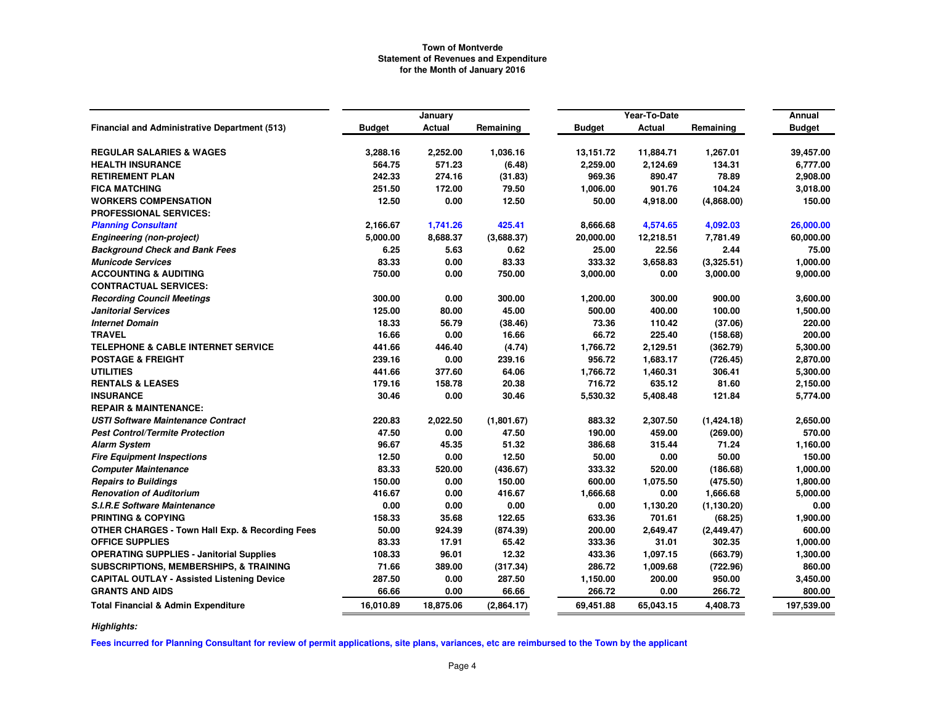|                                                            |               | January   |            |           | Year-To-Date |             | Annual        |
|------------------------------------------------------------|---------------|-----------|------------|-----------|--------------|-------------|---------------|
| <b>Financial and Administrative Department (513)</b>       | <b>Budget</b> | Actual    | Remaining  | Budget    | Actual       | Remaining   | <b>Budget</b> |
| <b>REGULAR SALARIES &amp; WAGES</b>                        | 3,288.16      | 2,252.00  | 1,036.16   | 13,151.72 | 11,884.71    | 1,267.01    | 39,457.00     |
| <b>HEALTH INSURANCE</b>                                    | 564.75        | 571.23    | (6.48)     | 2,259.00  | 2,124.69     | 134.31      | 6,777.00      |
| <b>RETIREMENT PLAN</b>                                     | 242.33        | 274.16    | (31.83)    | 969.36    | 890.47       | 78.89       | 2,908.00      |
| <b>FICA MATCHING</b>                                       | 251.50        | 172.00    | 79.50      | 1,006.00  | 901.76       | 104.24      | 3,018.00      |
| <b>WORKERS COMPENSATION</b>                                | 12.50         | 0.00      | 12.50      | 50.00     | 4,918.00     | (4,868.00)  | 150.00        |
| <b>PROFESSIONAL SERVICES:</b>                              |               |           |            |           |              |             |               |
| <b>Planning Consultant</b>                                 | 2,166.67      | 1,741.26  | 425.41     | 8,666.68  | 4,574.65     | 4,092.03    | 26,000.00     |
| <b>Engineering (non-project)</b>                           | 5,000.00      | 8,688.37  | (3,688.37) | 20,000.00 | 12,218.51    | 7,781.49    | 60,000.00     |
| <b>Background Check and Bank Fees</b>                      | 6.25          | 5.63      | 0.62       | 25.00     | 22.56        | 2.44        | 75.00         |
| <b>Municode Services</b>                                   | 83.33         | 0.00      | 83.33      | 333.32    | 3,658.83     | (3,325.51)  | 1,000.00      |
| <b>ACCOUNTING &amp; AUDITING</b>                           | 750.00        | 0.00      | 750.00     | 3,000.00  | 0.00         | 3,000.00    | 9,000.00      |
| <b>CONTRACTUAL SERVICES:</b>                               |               |           |            |           |              |             |               |
| <b>Recording Council Meetings</b>                          | 300.00        | 0.00      | 300.00     | 1,200.00  | 300.00       | 900.00      | 3,600.00      |
| <b>Janitorial Services</b>                                 | 125.00        | 80.00     | 45.00      | 500.00    | 400.00       | 100.00      | 1,500.00      |
| <b>Internet Domain</b>                                     | 18.33         | 56.79     | (38.46)    | 73.36     | 110.42       | (37.06)     | 220.00        |
| <b>TRAVEL</b>                                              | 16.66         | 0.00      | 16.66      | 66.72     | 225.40       | (158.68)    | 200.00        |
| <b>TELEPHONE &amp; CABLE INTERNET SERVICE</b>              | 441.66        | 446.40    | (4.74)     | 1,766.72  | 2,129.51     | (362.79)    | 5,300.00      |
| <b>POSTAGE &amp; FREIGHT</b>                               | 239.16        | 0.00      | 239.16     | 956.72    | 1,683.17     | (726.45)    | 2,870.00      |
| <b>UTILITIES</b>                                           | 441.66        | 377.60    | 64.06      | 1,766.72  | 1,460.31     | 306.41      | 5,300.00      |
| <b>RENTALS &amp; LEASES</b>                                | 179.16        | 158.78    | 20.38      | 716.72    | 635.12       | 81.60       | 2,150.00      |
| <b>INSURANCE</b>                                           | 30.46         | 0.00      | 30.46      | 5,530.32  | 5,408.48     | 121.84      | 5,774.00      |
| <b>REPAIR &amp; MAINTENANCE:</b>                           |               |           |            |           |              |             |               |
| <b>USTI Software Maintenance Contract</b>                  | 220.83        | 2,022.50  | (1,801.67) | 883.32    | 2,307.50     | (1,424.18)  | 2,650.00      |
| <b>Pest Control/Termite Protection</b>                     | 47.50         | 0.00      | 47.50      | 190.00    | 459.00       | (269.00)    | 570.00        |
| <b>Alarm System</b>                                        | 96.67         | 45.35     | 51.32      | 386.68    | 315.44       | 71.24       | 1,160.00      |
| <b>Fire Equipment Inspections</b>                          | 12.50         | 0.00      | 12.50      | 50.00     | 0.00         | 50.00       | 150.00        |
| <b>Computer Maintenance</b>                                | 83.33         | 520.00    | (436.67)   | 333.32    | 520.00       | (186.68)    | 1,000.00      |
| <b>Repairs to Buildings</b>                                | 150.00        | 0.00      | 150.00     | 600.00    | 1,075.50     | (475.50)    | 1,800.00      |
| <b>Renovation of Auditorium</b>                            | 416.67        | 0.00      | 416.67     | 1,666.68  | 0.00         | 1,666.68    | 5,000.00      |
| <b>S.I.R.E Software Maintenance</b>                        | 0.00          | 0.00      | 0.00       | 0.00      | 1,130.20     | (1, 130.20) | 0.00          |
| <b>PRINTING &amp; COPYING</b>                              | 158.33        | 35.68     | 122.65     | 633.36    | 701.61       | (68.25)     | 1,900.00      |
| <b>OTHER CHARGES - Town Hall Exp. &amp; Recording Fees</b> | 50.00         | 924.39    | (874.39)   | 200.00    | 2,649.47     | (2, 449.47) | 600.00        |
| <b>OFFICE SUPPLIES</b>                                     | 83.33         | 17.91     | 65.42      | 333.36    | 31.01        | 302.35      | 1,000.00      |
| <b>OPERATING SUPPLIES - Janitorial Supplies</b>            | 108.33        | 96.01     | 12.32      | 433.36    | 1,097.15     | (663.79)    | 1,300.00      |
| <b>SUBSCRIPTIONS, MEMBERSHIPS, &amp; TRAINING</b>          | 71.66         | 389.00    | (317.34)   | 286.72    | 1,009.68     | (722.96)    | 860.00        |
| <b>CAPITAL OUTLAY - Assisted Listening Device</b>          | 287.50        | 0.00      | 287.50     | 1,150.00  | 200.00       | 950.00      | 3,450.00      |
| <b>GRANTS AND AIDS</b>                                     | 66.66         | 0.00      | 66.66      | 266.72    | 0.00         | 266.72      | 800.00        |
| <b>Total Financial &amp; Admin Expenditure</b>             | 16,010.89     | 18,875.06 | (2,864.17) | 69,451.88 | 65.043.15    | 4,408.73    | 197,539.00    |

*Highlights:*

**Fees incurred for Planning Consultant for review of permit applications, site plans, variances, etc are reimbursed to the Town by the applicant**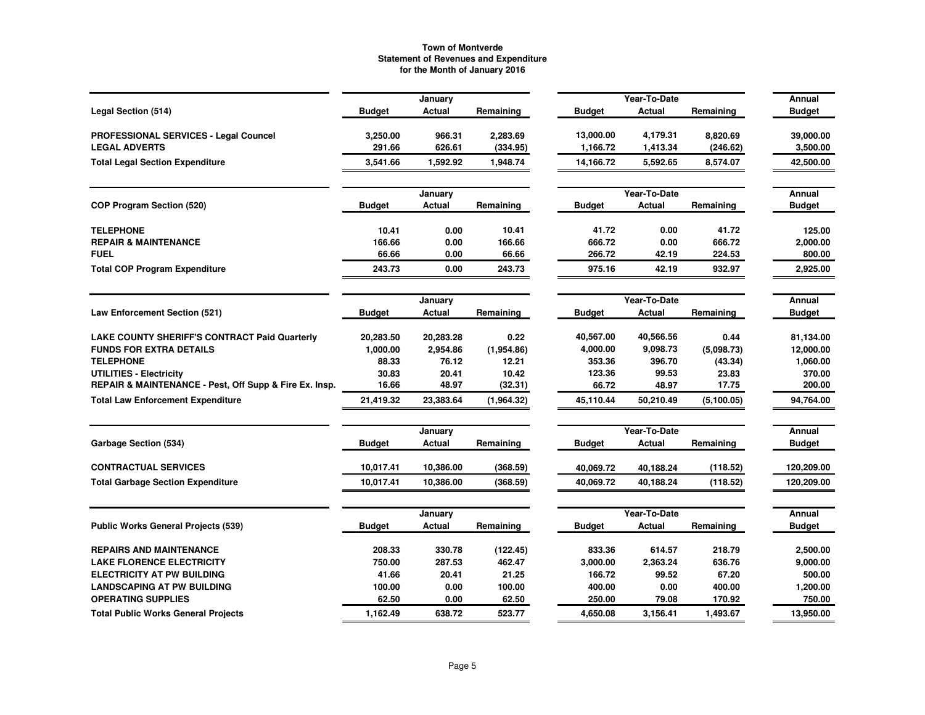|                                                        |               | January           |            |               | Year-To-Date  |             | Annual                  |
|--------------------------------------------------------|---------------|-------------------|------------|---------------|---------------|-------------|-------------------------|
| Legal Section (514)                                    | <b>Budget</b> | <b>Actual</b>     | Remaining  | <b>Budget</b> | <b>Actual</b> | Remaining   | <b>Budget</b>           |
| PROFESSIONAL SERVICES - Legal Councel                  | 3,250.00      | 966.31            | 2,283.69   | 13,000.00     | 4,179.31      | 8,820.69    | 39,000.00               |
| <b>LEGAL ADVERTS</b>                                   | 291.66        | 626.61            | (334.95)   | 1,166.72      | 1,413.34      | (246.62)    | 3,500.00                |
| <b>Total Legal Section Expenditure</b>                 | 3,541.66      | 1,592.92          | 1,948.74   | 14,166.72     | 5,592.65      | 8,574.07    | 42,500.00               |
|                                                        |               | January           |            |               | Year-To-Date  |             | Annual                  |
| <b>COP Program Section (520)</b>                       | <b>Budget</b> | Actual            | Remaining  | <b>Budget</b> | Actual        | Remaining   | <b>Budget</b>           |
| <b>TELEPHONE</b>                                       | 10.41         | 0.00              | 10.41      | 41.72         | 0.00          | 41.72       | 125.00                  |
| <b>REPAIR &amp; MAINTENANCE</b>                        | 166.66        | 0.00              | 166.66     | 666.72        | 0.00          | 666.72      | 2,000.00                |
| <b>FUEL</b>                                            | 66.66         | 0.00              | 66.66      | 266.72        | 42.19         | 224.53      | 800.00                  |
| <b>Total COP Program Expenditure</b>                   | 243.73        | 0.00              | 243.73     | 975.16        | 42.19         | 932.97      | 2,925.00                |
|                                                        |               | January           |            |               | Year-To-Date  |             | Annual                  |
| <b>Law Enforcement Section (521)</b>                   | <b>Budget</b> | Actual            | Remaining  | <b>Budget</b> | Actual        | Remaining   | <b>Budget</b>           |
| <b>LAKE COUNTY SHERIFF'S CONTRACT Paid Quarterly</b>   | 20,283.50     | 20,283.28         | 0.22       | 40,567.00     | 40,566.56     | 0.44        | 81,134.00               |
| <b>FUNDS FOR EXTRA DETAILS</b>                         | 1,000.00      | 2,954.86          | (1,954.86) | 4,000.00      | 9.098.73      | (5,098.73)  | 12,000.00               |
| <b>TELEPHONE</b>                                       | 88.33         | 76.12             | 12.21      | 353.36        | 396.70        | (43.34)     | 1,060.00                |
| <b>UTILITIES - Electricity</b>                         | 30.83         | 20.41             | 10.42      | 123.36        | 99.53         | 23.83       | 370.00                  |
| REPAIR & MAINTENANCE - Pest, Off Supp & Fire Ex. Insp. | 16.66         | 48.97             | (32.31)    | 66.72         | 48.97         | 17.75       | 200.00                  |
| <b>Total Law Enforcement Expenditure</b>               | 21,419.32     | 23,383.64         | (1,964.32) | 45,110.44     | 50.210.49     | (5, 100.05) | 94,764.00               |
|                                                        |               | January           |            |               | Year-To-Date  |             | Annual                  |
| <b>Garbage Section (534)</b>                           | <b>Budget</b> | Actual            | Remaining  | <b>Budget</b> | Actual        | Remaining   | Budget                  |
| <b>CONTRACTUAL SERVICES</b>                            | 10,017.41     | 10,386.00         | (368.59)   | 40,069.72     | 40,188.24     | (118.52)    | 120,209.00              |
| <b>Total Garbage Section Expenditure</b>               | 10,017.41     | 10,386.00         | (368.59)   | 40,069.72     | 40.188.24     | (118.52)    | 120,209.00              |
|                                                        |               |                   |            |               | Year-To-Date  |             |                         |
| <b>Public Works General Projects (539)</b>             | <b>Budget</b> | January<br>Actual | Remaining  | <b>Budget</b> | Actual        | Remaining   | Annual<br><b>Budget</b> |
| <b>REPAIRS AND MAINTENANCE</b>                         | 208.33        | 330.78            | (122.45)   | 833.36        | 614.57        | 218.79      | 2,500.00                |
| <b>LAKE FLORENCE ELECTRICITY</b>                       | 750.00        | 287.53            | 462.47     | 3,000.00      | 2,363.24      | 636.76      | 9,000.00                |
| <b>ELECTRICITY AT PW BUILDING</b>                      | 41.66         | 20.41             | 21.25      | 166.72        | 99.52         | 67.20       | 500.00                  |
| <b>LANDSCAPING AT PW BUILDING</b>                      | 100.00        | 0.00              | 100.00     | 400.00        | 0.00          | 400.00      | 1,200.00                |
| <b>OPERATING SUPPLIES</b>                              | 62.50         | 0.00              | 62.50      | 250.00        | 79.08         | 170.92      | 750.00                  |
| <b>Total Public Works General Projects</b>             | 1,162.49      | 638.72            | 523.77     | 4,650.08      | 3,156.41      | 1,493.67    | 13,950.00               |
|                                                        |               |                   |            |               |               |             |                         |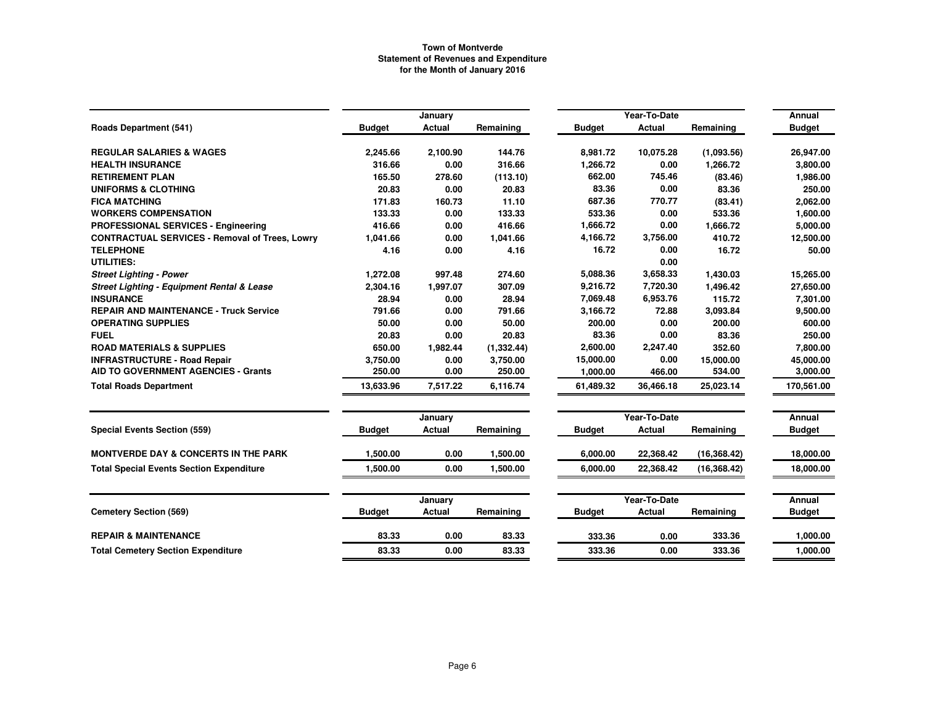|                                                       |               | January       |             |               | Year-To-Date  |              |               |  |
|-------------------------------------------------------|---------------|---------------|-------------|---------------|---------------|--------------|---------------|--|
| <b>Roads Department (541)</b>                         | <b>Budget</b> | <b>Actual</b> | Remaining   | <b>Budget</b> | <b>Actual</b> | Remaining    | <b>Budget</b> |  |
| <b>REGULAR SALARIES &amp; WAGES</b>                   | 2,245.66      | 2,100.90      | 144.76      | 8,981.72      | 10.075.28     | (1,093.56)   | 26,947.00     |  |
| <b>HEALTH INSURANCE</b>                               | 316.66        | 0.00          | 316.66      | 1,266.72      | 0.00          | 1,266.72     | 3,800.00      |  |
| <b>RETIREMENT PLAN</b>                                | 165.50        | 278.60        | (113.10)    | 662.00        | 745.46        | (83.46)      | 1,986.00      |  |
| <b>UNIFORMS &amp; CLOTHING</b>                        | 20.83         | 0.00          | 20.83       | 83.36         | 0.00          | 83.36        | 250.00        |  |
| <b>FICA MATCHING</b>                                  | 171.83        | 160.73        | 11.10       | 687.36        | 770.77        | (83.41)      | 2.062.00      |  |
| <b>WORKERS COMPENSATION</b>                           | 133.33        | 0.00          | 133.33      | 533.36        | 0.00          | 533.36       | 1,600.00      |  |
| PROFESSIONAL SERVICES - Engineering                   | 416.66        | 0.00          | 416.66      | 1,666.72      | 0.00          | 1,666.72     | 5,000.00      |  |
| <b>CONTRACTUAL SERVICES - Removal of Trees, Lowry</b> | 1,041.66      | 0.00          | 1,041.66    | 4,166.72      | 3,756.00      | 410.72       | 12,500.00     |  |
| <b>TELEPHONE</b>                                      | 4.16          | 0.00          | 4.16        | 16.72         | 0.00          | 16.72        | 50.00         |  |
| <b>UTILITIES:</b>                                     |               |               |             |               | 0.00          |              |               |  |
| <b>Street Lighting - Power</b>                        | 1,272.08      | 997.48        | 274.60      | 5,088.36      | 3,658.33      | 1,430.03     | 15,265.00     |  |
| Street Lighting - Equipment Rental & Lease            | 2,304.16      | 1,997.07      | 307.09      | 9,216.72      | 7,720.30      | 1,496.42     | 27,650.00     |  |
| <b>INSURANCE</b>                                      | 28.94         | 0.00          | 28.94       | 7,069.48      | 6,953.76      | 115.72       | 7,301.00      |  |
| <b>REPAIR AND MAINTENANCE - Truck Service</b>         | 791.66        | 0.00          | 791.66      | 3,166.72      | 72.88         | 3,093.84     | 9,500.00      |  |
| <b>OPERATING SUPPLIES</b>                             | 50.00         | 0.00          | 50.00       | 200.00        | 0.00          | 200.00       | 600.00        |  |
| <b>FUEL</b>                                           | 20.83         | 0.00          | 20.83       | 83.36         | 0.00          | 83.36        | 250.00        |  |
| <b>ROAD MATERIALS &amp; SUPPLIES</b>                  | 650.00        | 1,982.44      | (1, 332.44) | 2,600.00      | 2,247.40      | 352.60       | 7,800.00      |  |
| <b>INFRASTRUCTURE - Road Repair</b>                   | 3,750.00      | 0.00          | 3,750.00    | 15,000.00     | 0.00          | 15,000.00    | 45,000.00     |  |
| <b>AID TO GOVERNMENT AGENCIES - Grants</b>            | 250.00        | 0.00          | 250.00      | 1,000.00      | 466.00        | 534.00       | 3,000.00      |  |
| <b>Total Roads Department</b>                         | 13,633.96     | 7,517.22      | 6,116.74    | 61,489.32     | 36,466.18     | 25,023.14    | 170,561.00    |  |
|                                                       |               | January       |             |               | Year-To-Date  |              | <b>Annual</b> |  |
| <b>Special Events Section (559)</b>                   | <b>Budget</b> | <b>Actual</b> | Remaining   | <b>Budget</b> | <b>Actual</b> | Remaining    | <b>Budget</b> |  |
| <b>MONTVERDE DAY &amp; CONCERTS IN THE PARK</b>       | 1,500.00      | 0.00          | 1,500.00    | 6,000.00      | 22,368.42     | (16, 368.42) | 18,000.00     |  |
| <b>Total Special Events Section Expenditure</b>       | 1.500.00      | 0.00          | 1,500.00    | 6.000.00      | 22,368.42     | (16, 368.42) | 18,000.00     |  |
|                                                       |               | January       |             |               | Year-To-Date  |              | Annual        |  |
| <b>Cemetery Section (569)</b>                         | <b>Budget</b> | Actual        | Remaining   | <b>Budget</b> | <b>Actual</b> | Remaining    | <b>Budget</b> |  |
| <b>REPAIR &amp; MAINTENANCE</b>                       | 83.33         | 0.00          | 83.33       | 333.36        | 0.00          | 333.36       | 1,000.00      |  |
| <b>Total Cemetery Section Expenditure</b>             | 83.33         | 0.00          | 83.33       | 333.36        | 0.00          | 333.36       | 1,000.00      |  |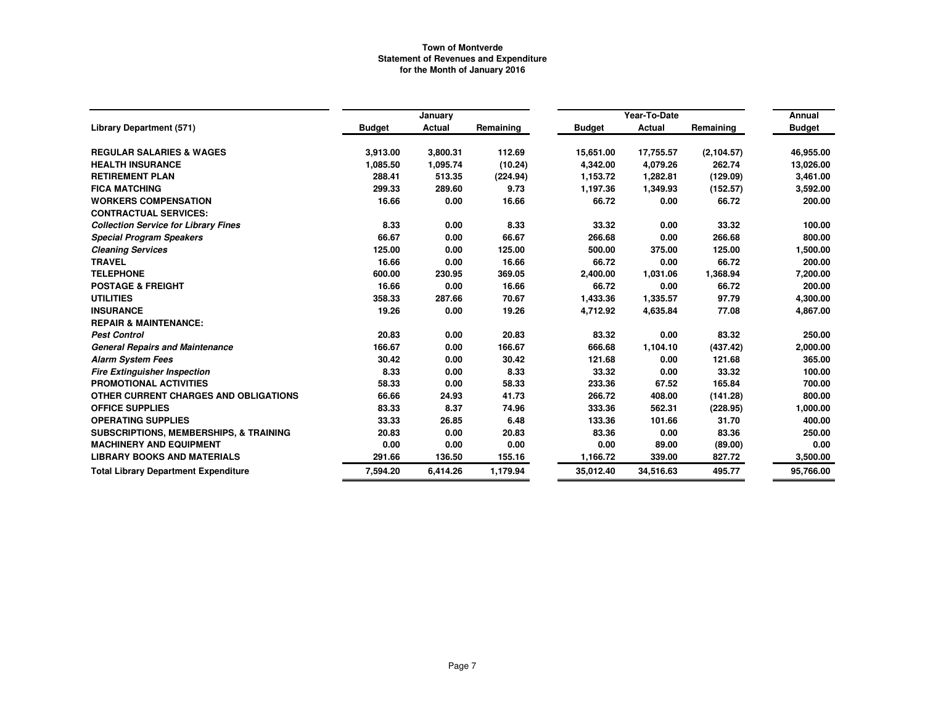|                                                   |               | January  |           |               | Year-To-Date |             | Annual        |
|---------------------------------------------------|---------------|----------|-----------|---------------|--------------|-------------|---------------|
| <b>Library Department (571)</b>                   | <b>Budget</b> | Actual   | Remaining | <b>Budget</b> | Actual       | Remaining   | <b>Budget</b> |
| <b>REGULAR SALARIES &amp; WAGES</b>               | 3,913.00      | 3,800.31 | 112.69    | 15,651.00     | 17,755.57    | (2, 104.57) | 46,955.00     |
| <b>HEALTH INSURANCE</b>                           | 1,085.50      | 1,095.74 | (10.24)   | 4,342.00      | 4,079.26     | 262.74      | 13,026.00     |
| <b>RETIREMENT PLAN</b>                            | 288.41        | 513.35   | (224.94)  | 1,153.72      | 1,282.81     | (129.09)    | 3,461.00      |
| <b>FICA MATCHING</b>                              | 299.33        | 289.60   | 9.73      | 1,197.36      | 1,349.93     | (152.57)    | 3,592.00      |
| <b>WORKERS COMPENSATION</b>                       | 16.66         | 0.00     | 16.66     | 66.72         | 0.00         | 66.72       | 200.00        |
| <b>CONTRACTUAL SERVICES:</b>                      |               |          |           |               |              |             |               |
| <b>Collection Service for Library Fines</b>       | 8.33          | 0.00     | 8.33      | 33.32         | 0.00         | 33.32       | 100.00        |
| <b>Special Program Speakers</b>                   | 66.67         | 0.00     | 66.67     | 266.68        | 0.00         | 266.68      | 800.00        |
| <b>Cleaning Services</b>                          | 125.00        | 0.00     | 125.00    | 500.00        | 375.00       | 125.00      | 1,500.00      |
| <b>TRAVEL</b>                                     | 16.66         | 0.00     | 16.66     | 66.72         | 0.00         | 66.72       | 200.00        |
| <b>TELEPHONE</b>                                  | 600.00        | 230.95   | 369.05    | 2,400.00      | 1,031.06     | 1,368.94    | 7,200.00      |
| <b>POSTAGE &amp; FREIGHT</b>                      | 16.66         | 0.00     | 16.66     | 66.72         | 0.00         | 66.72       | 200.00        |
| <b>UTILITIES</b>                                  | 358.33        | 287.66   | 70.67     | 1,433.36      | 1,335.57     | 97.79       | 4,300.00      |
| <b>INSURANCE</b>                                  | 19.26         | 0.00     | 19.26     | 4,712.92      | 4,635.84     | 77.08       | 4,867.00      |
| <b>REPAIR &amp; MAINTENANCE:</b>                  |               |          |           |               |              |             |               |
| <b>Pest Control</b>                               | 20.83         | 0.00     | 20.83     | 83.32         | 0.00         | 83.32       | 250.00        |
| <b>General Repairs and Maintenance</b>            | 166.67        | 0.00     | 166.67    | 666.68        | 1,104.10     | (437.42)    | 2,000.00      |
| <b>Alarm System Fees</b>                          | 30.42         | 0.00     | 30.42     | 121.68        | 0.00         | 121.68      | 365.00        |
| <b>Fire Extinguisher Inspection</b>               | 8.33          | 0.00     | 8.33      | 33.32         | 0.00         | 33.32       | 100.00        |
| PROMOTIONAL ACTIVITIES                            | 58.33         | 0.00     | 58.33     | 233.36        | 67.52        | 165.84      | 700.00        |
| OTHER CURRENT CHARGES AND OBLIGATIONS             | 66.66         | 24.93    | 41.73     | 266.72        | 408.00       | (141.28)    | 800.00        |
| <b>OFFICE SUPPLIES</b>                            | 83.33         | 8.37     | 74.96     | 333.36        | 562.31       | (228.95)    | 1,000.00      |
| <b>OPERATING SUPPLIES</b>                         | 33.33         | 26.85    | 6.48      | 133.36        | 101.66       | 31.70       | 400.00        |
| <b>SUBSCRIPTIONS, MEMBERSHIPS, &amp; TRAINING</b> | 20.83         | 0.00     | 20.83     | 83.36         | 0.00         | 83.36       | 250.00        |
| <b>MACHINERY AND EQUIPMENT</b>                    | 0.00          | 0.00     | 0.00      | 0.00          | 89.00        | (89.00)     | 0.00          |
| <b>LIBRARY BOOKS AND MATERIALS</b>                | 291.66        | 136.50   | 155.16    | 1,166.72      | 339.00       | 827.72      | 3,500.00      |
| <b>Total Library Department Expenditure</b>       | 7,594.20      | 6,414.26 | 1,179.94  | 35,012.40     | 34,516.63    | 495.77      | 95,766.00     |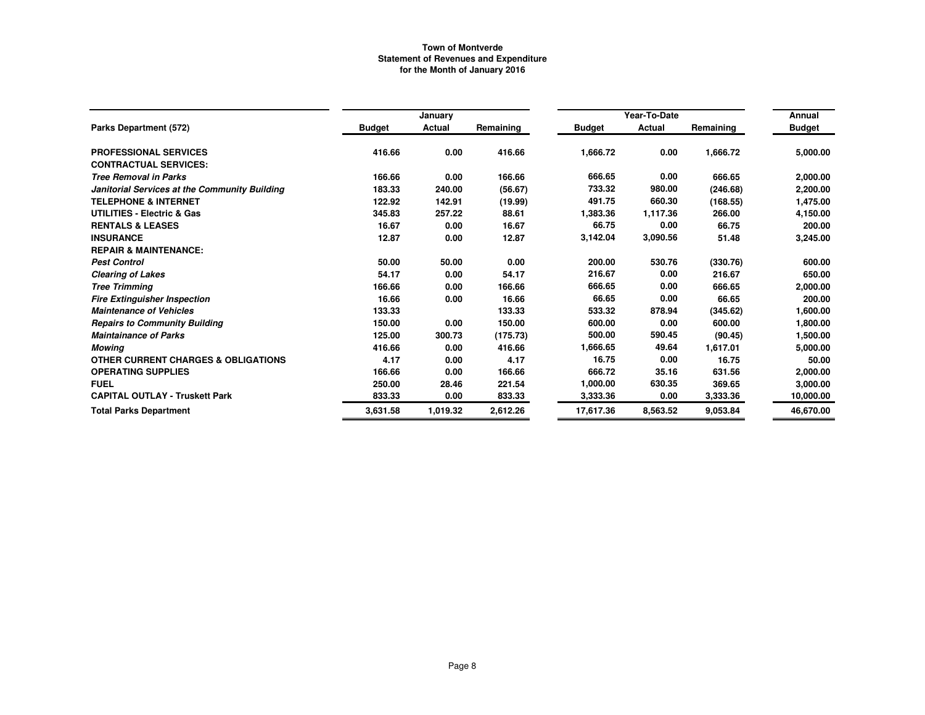|                                                |               |          |           |               | Year-To-Date |           |               |  |
|------------------------------------------------|---------------|----------|-----------|---------------|--------------|-----------|---------------|--|
|                                                |               | January  |           |               |              |           | Annual        |  |
| Parks Department (572)                         | <b>Budget</b> | Actual   | Remaining | <b>Budget</b> | Actual       | Remaining | <b>Budget</b> |  |
| <b>PROFESSIONAL SERVICES</b>                   | 416.66        | 0.00     | 416.66    | 1,666.72      | 0.00         | 1,666.72  | 5,000.00      |  |
| <b>CONTRACTUAL SERVICES:</b>                   |               |          |           |               |              |           |               |  |
| <b>Tree Removal in Parks</b>                   | 166.66        | 0.00     | 166.66    | 666.65        | 0.00         | 666.65    | 2,000.00      |  |
| Janitorial Services at the Community Building  | 183.33        | 240.00   | (56.67)   | 733.32        | 980.00       | (246.68)  | 2,200.00      |  |
| <b>TELEPHONE &amp; INTERNET</b>                | 122.92        | 142.91   | (19.99)   | 491.75        | 660.30       | (168.55)  | 1,475.00      |  |
| <b>UTILITIES - Electric &amp; Gas</b>          | 345.83        | 257.22   | 88.61     | 1,383.36      | 1,117.36     | 266.00    | 4,150.00      |  |
| <b>RENTALS &amp; LEASES</b>                    | 16.67         | 0.00     | 16.67     | 66.75         | 0.00         | 66.75     | 200.00        |  |
| <b>INSURANCE</b>                               | 12.87         | 0.00     | 12.87     | 3,142.04      | 3,090.56     | 51.48     | 3,245.00      |  |
| <b>REPAIR &amp; MAINTENANCE:</b>               |               |          |           |               |              |           |               |  |
| <b>Pest Control</b>                            | 50.00         | 50.00    | 0.00      | 200.00        | 530.76       | (330.76)  | 600.00        |  |
| <b>Clearing of Lakes</b>                       | 54.17         | 0.00     | 54.17     | 216.67        | 0.00         | 216.67    | 650.00        |  |
| <b>Tree Trimming</b>                           | 166.66        | 0.00     | 166.66    | 666.65        | 0.00         | 666.65    | 2,000.00      |  |
| <b>Fire Extinguisher Inspection</b>            | 16.66         | 0.00     | 16.66     | 66.65         | 0.00         | 66.65     | 200.00        |  |
| <b>Maintenance of Vehicles</b>                 | 133.33        |          | 133.33    | 533.32        | 878.94       | (345.62)  | 1,600.00      |  |
| <b>Repairs to Community Building</b>           | 150.00        | 0.00     | 150.00    | 600.00        | 0.00         | 600.00    | 1,800.00      |  |
| <b>Maintainance of Parks</b>                   | 125.00        | 300.73   | (175.73)  | 500.00        | 590.45       | (90.45)   | 1,500.00      |  |
| Mowing                                         | 416.66        | 0.00     | 416.66    | 1,666.65      | 49.64        | 1,617.01  | 5,000.00      |  |
| <b>OTHER CURRENT CHARGES &amp; OBLIGATIONS</b> | 4.17          | 0.00     | 4.17      | 16.75         | 0.00         | 16.75     | 50.00         |  |
| <b>OPERATING SUPPLIES</b>                      | 166.66        | 0.00     | 166.66    | 666.72        | 35.16        | 631.56    | 2,000.00      |  |
| <b>FUEL</b>                                    | 250.00        | 28.46    | 221.54    | 1,000.00      | 630.35       | 369.65    | 3,000.00      |  |
| <b>CAPITAL OUTLAY - Truskett Park</b>          | 833.33        | 0.00     | 833.33    | 3,333.36      | 0.00         | 3,333.36  | 10,000.00     |  |
| <b>Total Parks Department</b>                  | 3,631.58      | 1,019.32 | 2,612.26  | 17,617.36     | 8,563.52     | 9,053.84  | 46,670.00     |  |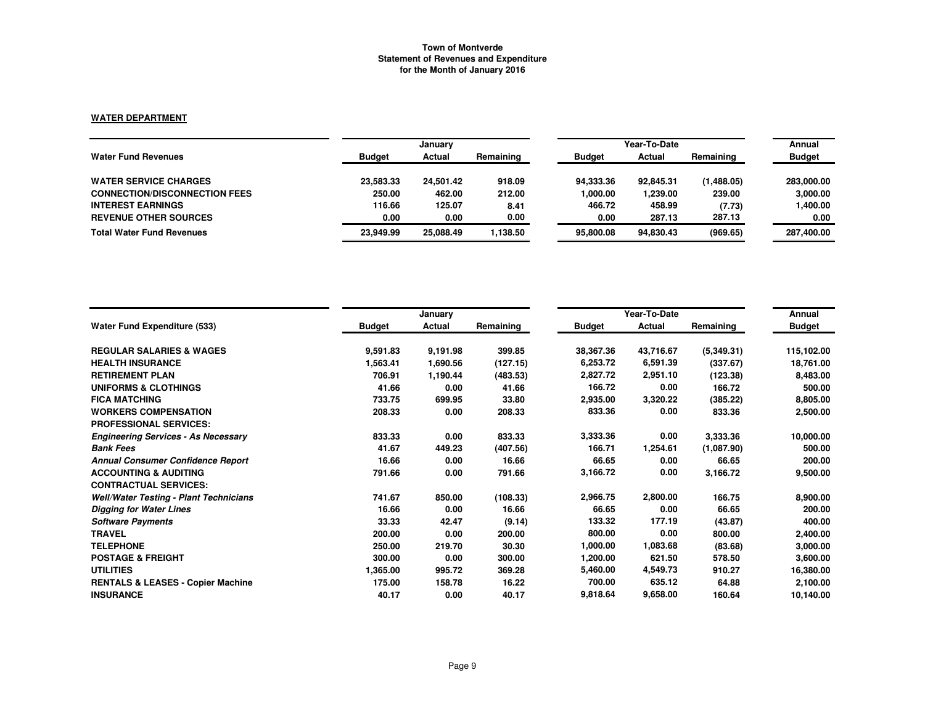# **WATER DEPARTMENT**

|                                      |               | January   |           |               | Year-To-Date |            |               |  |
|--------------------------------------|---------------|-----------|-----------|---------------|--------------|------------|---------------|--|
| <b>Water Fund Revenues</b>           | <b>Budget</b> | Actual    | Remaining | <b>Budget</b> | Actual       | Remaining  | <b>Budget</b> |  |
| <b>WATER SERVICE CHARGES</b>         | 23.583.33     | 24.501.42 | 918.09    | 94.333.36     | 92,845.31    | (1,488.05) | 283,000.00    |  |
| <b>CONNECTION/DISCONNECTION FEES</b> | 250.00        | 462.00    | 212.00    | 1,000.00      | 00.239.00    | 239.00     | 3,000.00      |  |
| <b>INTEREST EARNINGS</b>             | 116.66        | 125.07    | 8.41      | 466.72        | 458.99       | (7.73)     | 1,400.00      |  |
| <b>REVENUE OTHER SOURCES</b>         | 0.00          | 0.00      | 0.00      | 0.00          | 287.13       | 287.13     | 0.00          |  |
| <b>Total Water Fund Revenues</b>     | 23.949.99     | 25,088.49 | 1.138.50  | 95.800.08     | 94.830.43    | (969.65)   | 287,400.00    |  |

|                                               |               | January  |           |               | Year-To-Date |            | Annual        |
|-----------------------------------------------|---------------|----------|-----------|---------------|--------------|------------|---------------|
| <b>Water Fund Expenditure (533)</b>           | <b>Budget</b> | Actual   | Remaining | <b>Budget</b> | Actual       | Remaining  | <b>Budget</b> |
| <b>REGULAR SALARIES &amp; WAGES</b>           | 9,591.83      | 9,191.98 | 399.85    | 38,367.36     | 43,716.67    | (5,349.31) | 115,102.00    |
| <b>HEALTH INSURANCE</b>                       | 1,563.41      | 1,690.56 | (127.15)  | 6,253.72      | 6,591.39     | (337.67)   | 18,761.00     |
| <b>RETIREMENT PLAN</b>                        | 706.91        | 1,190.44 | (483.53)  | 2,827.72      | 2,951.10     | (123.38)   | 8,483.00      |
| UNIFORMS & CLOTHINGS                          | 41.66         | 0.00     | 41.66     | 166.72        | 0.00         | 166.72     | 500.00        |
| <b>FICA MATCHING</b>                          | 733.75        | 699.95   | 33.80     | 2,935.00      | 3,320.22     | (385.22)   | 8,805.00      |
| <b>WORKERS COMPENSATION</b>                   | 208.33        | 0.00     | 208.33    | 833.36        | 0.00         | 833.36     | 2,500.00      |
| <b>PROFESSIONAL SERVICES:</b>                 |               |          |           |               |              |            |               |
| <b>Engineering Services - As Necessary</b>    | 833.33        | 0.00     | 833.33    | 3,333.36      | 0.00         | 3,333.36   | 10,000.00     |
| <b>Bank Fees</b>                              | 41.67         | 449.23   | (407.56)  | 166.71        | 1,254.61     | (1,087.90) | 500.00        |
| <b>Annual Consumer Confidence Report</b>      | 16.66         | 0.00     | 16.66     | 66.65         | 0.00         | 66.65      | 200.00        |
| <b>ACCOUNTING &amp; AUDITING</b>              | 791.66        | 0.00     | 791.66    | 3,166.72      | 0.00         | 3,166.72   | 9,500.00      |
| <b>CONTRACTUAL SERVICES:</b>                  |               |          |           |               |              |            |               |
| <b>Well/Water Testing - Plant Technicians</b> | 741.67        | 850.00   | (108.33)  | 2,966.75      | 2,800.00     | 166.75     | 8,900.00      |
| <b>Digging for Water Lines</b>                | 16.66         | 0.00     | 16.66     | 66.65         | 0.00         | 66.65      | 200.00        |
| <b>Software Payments</b>                      | 33.33         | 42.47    | (9.14)    | 133.32        | 177.19       | (43.87)    | 400.00        |
| <b>TRAVEL</b>                                 | 200.00        | 0.00     | 200.00    | 800.00        | 0.00         | 800.00     | 2,400.00      |
| <b>TELEPHONE</b>                              | 250.00        | 219.70   | 30.30     | 1,000.00      | 1,083.68     | (83.68)    | 3,000.00      |
| <b>POSTAGE &amp; FREIGHT</b>                  | 300.00        | 0.00     | 300.00    | 1,200.00      | 621.50       | 578.50     | 3,600.00      |
| <b>UTILITIES</b>                              | 1,365.00      | 995.72   | 369.28    | 5,460.00      | 4,549.73     | 910.27     | 16,380.00     |
| <b>RENTALS &amp; LEASES - Copier Machine</b>  | 175.00        | 158.78   | 16.22     | 700.00        | 635.12       | 64.88      | 2,100.00      |
| <b>INSURANCE</b>                              | 40.17         | 0.00     | 40.17     | 9,818.64      | 9,658.00     | 160.64     | 10,140.00     |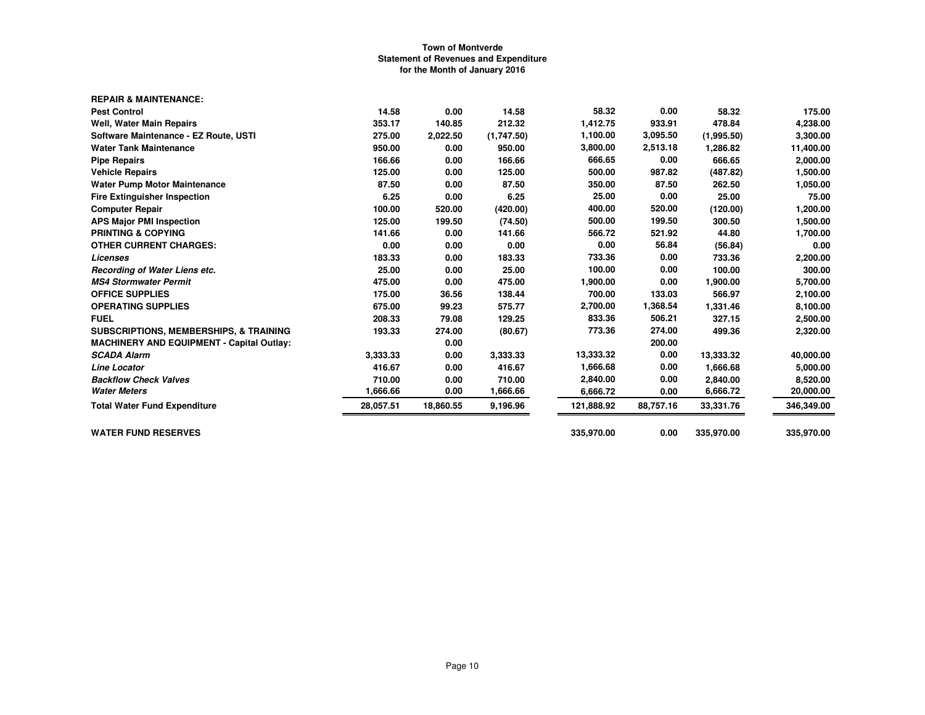| 14.58     | 0.00      | 14.58      | 58.32      | 0.00      | 58.32      | 175.00     |
|-----------|-----------|------------|------------|-----------|------------|------------|
| 353.17    | 140.85    | 212.32     | 1,412.75   | 933.91    | 478.84     | 4,238.00   |
| 275.00    | 2,022.50  | (1,747.50) | 1,100.00   | 3,095.50  | (1,995.50) | 3,300.00   |
| 950.00    | 0.00      | 950.00     | 3,800.00   | 2,513.18  | 1,286.82   | 11,400.00  |
| 166.66    | 0.00      | 166.66     | 666.65     | 0.00      | 666.65     | 2,000.00   |
| 125.00    | 0.00      | 125.00     | 500.00     | 987.82    | (487.82)   | 1,500.00   |
| 87.50     | 0.00      | 87.50      | 350.00     | 87.50     | 262.50     | 1,050.00   |
| 6.25      | 0.00      | 6.25       | 25.00      | 0.00      | 25.00      | 75.00      |
| 100.00    | 520.00    | (420.00)   | 400.00     | 520.00    | (120.00)   | 1,200.00   |
| 125.00    | 199.50    | (74.50)    | 500.00     | 199.50    | 300.50     | 1,500.00   |
| 141.66    | 0.00      | 141.66     | 566.72     | 521.92    | 44.80      | 1,700.00   |
| 0.00      | 0.00      | 0.00       | 0.00       | 56.84     | (56.84)    | 0.00       |
| 183.33    | 0.00      | 183.33     | 733.36     | 0.00      | 733.36     | 2,200.00   |
| 25.00     | 0.00      | 25.00      | 100.00     | 0.00      | 100.00     | 300.00     |
| 475.00    | 0.00      | 475.00     | 1,900.00   | 0.00      | 1,900.00   | 5,700.00   |
| 175.00    | 36.56     | 138.44     | 700.00     | 133.03    | 566.97     | 2,100.00   |
| 675.00    | 99.23     | 575.77     | 2,700.00   | 1,368.54  | 1,331.46   | 8,100.00   |
| 208.33    | 79.08     | 129.25     | 833.36     | 506.21    | 327.15     | 2,500.00   |
| 193.33    | 274.00    | (80.67)    | 773.36     | 274.00    | 499.36     | 2,320.00   |
|           | 0.00      |            |            | 200.00    |            |            |
| 3,333.33  | 0.00      | 3.333.33   | 13,333.32  | 0.00      | 13,333.32  | 40,000.00  |
| 416.67    | 0.00      | 416.67     | 1,666.68   | 0.00      | 1,666.68   | 5,000.00   |
| 710.00    | 0.00      | 710.00     | 2,840.00   | 0.00      | 2,840.00   | 8,520.00   |
| 1,666.66  | 0.00      | 1,666.66   | 6,666.72   | 0.00      | 6,666.72   | 20,000.00  |
| 28,057.51 | 18,860.55 | 9.196.96   | 121,888.92 | 88,757.16 | 33,331.76  | 346,349.00 |
|           |           |            | 335,970.00 | 0.00      | 335,970.00 | 335,970.00 |
|           |           |            |            |           |            |            |